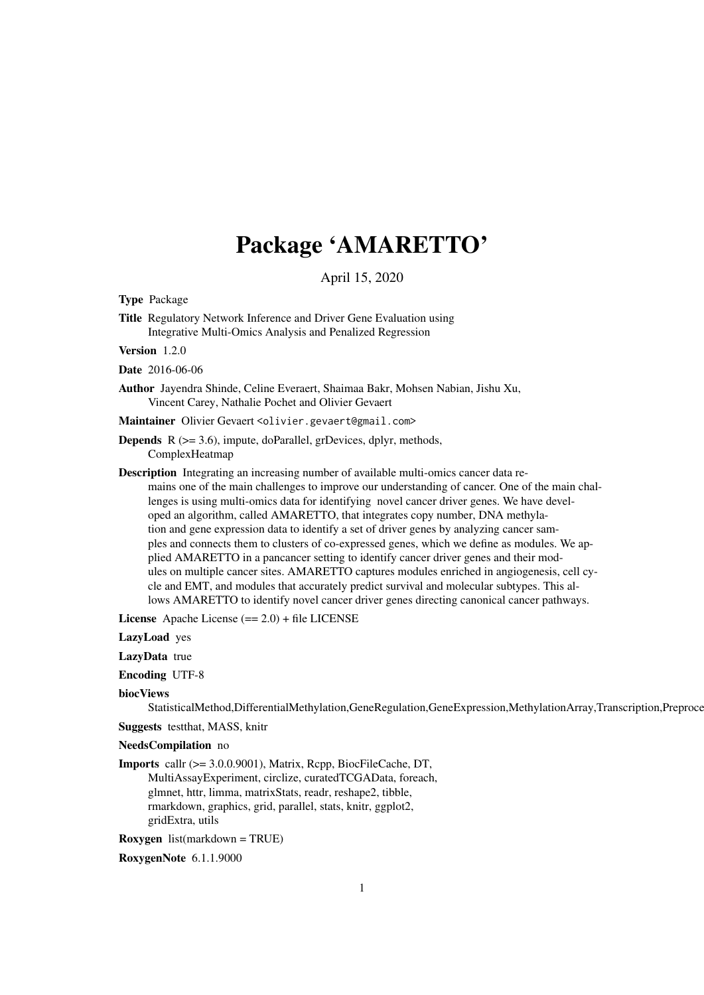# Package 'AMARETTO'

April 15, 2020

Type Package

Title Regulatory Network Inference and Driver Gene Evaluation using Integrative Multi-Omics Analysis and Penalized Regression

Version 1.2.0

Date 2016-06-06

Author Jayendra Shinde, Celine Everaert, Shaimaa Bakr, Mohsen Nabian, Jishu Xu, Vincent Carey, Nathalie Pochet and Olivier Gevaert

Maintainer Olivier Gevaert <olivier.gevaert@gmail.com>

- **Depends** R  $(>= 3.6)$ , impute, doParallel, grDevices, dplyr, methods, ComplexHeatmap
- Description Integrating an increasing number of available multi-omics cancer data remains one of the main challenges to improve our understanding of cancer. One of the main challenges is using multi-omics data for identifying novel cancer driver genes. We have developed an algorithm, called AMARETTO, that integrates copy number, DNA methylation and gene expression data to identify a set of driver genes by analyzing cancer samples and connects them to clusters of co-expressed genes, which we define as modules. We applied AMARETTO in a pancancer setting to identify cancer driver genes and their modules on multiple cancer sites. AMARETTO captures modules enriched in angiogenesis, cell cycle and EMT, and modules that accurately predict survival and molecular subtypes. This allows AMARETTO to identify novel cancer driver genes directing canonical cancer pathways.

License Apache License (== 2.0) + file LICENSE

LazyLoad yes

LazyData true

- Encoding UTF-8
- biocViews

StatisticalMethod,DifferentialMethylation,GeneRegulation,GeneExpression,MethylationArray,Transcription,Preproce

Suggests testthat, MASS, knitr

NeedsCompilation no

Imports callr (>= 3.0.0.9001), Matrix, Rcpp, BiocFileCache, DT, MultiAssayExperiment, circlize, curatedTCGAData, foreach, glmnet, httr, limma, matrixStats, readr, reshape2, tibble, rmarkdown, graphics, grid, parallel, stats, knitr, ggplot2, gridExtra, utils

Roxygen list(markdown = TRUE)

RoxygenNote 6.1.1.9000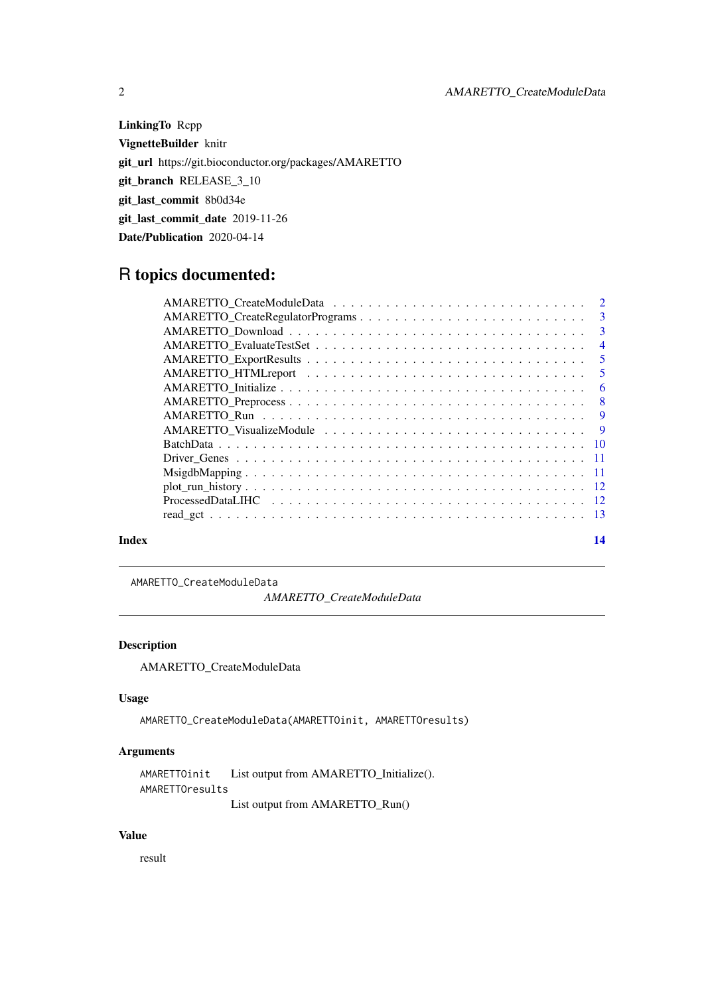LinkingTo Rcpp VignetteBuilder knitr git\_url https://git.bioconductor.org/packages/AMARETTO git\_branch RELEASE\_3\_10 git\_last\_commit 8b0d34e git\_last\_commit\_date 2019-11-26 Date/Publication 2020-04-14

## R topics documented:

| Index | 14 |
|-------|----|

AMARETTO\_CreateModuleData

*AMARETTO\_CreateModuleData*

#### Description

AMARETTO\_CreateModuleData

#### Usage

AMARETTO\_CreateModuleData(AMARETTOinit, AMARETTOresults)

#### Arguments

```
AMARETTOinit List output from AMARETTO_Initialize().
AMARETTOresults
```
List output from AMARETTO\_Run()

### Value

result

<span id="page-1-0"></span>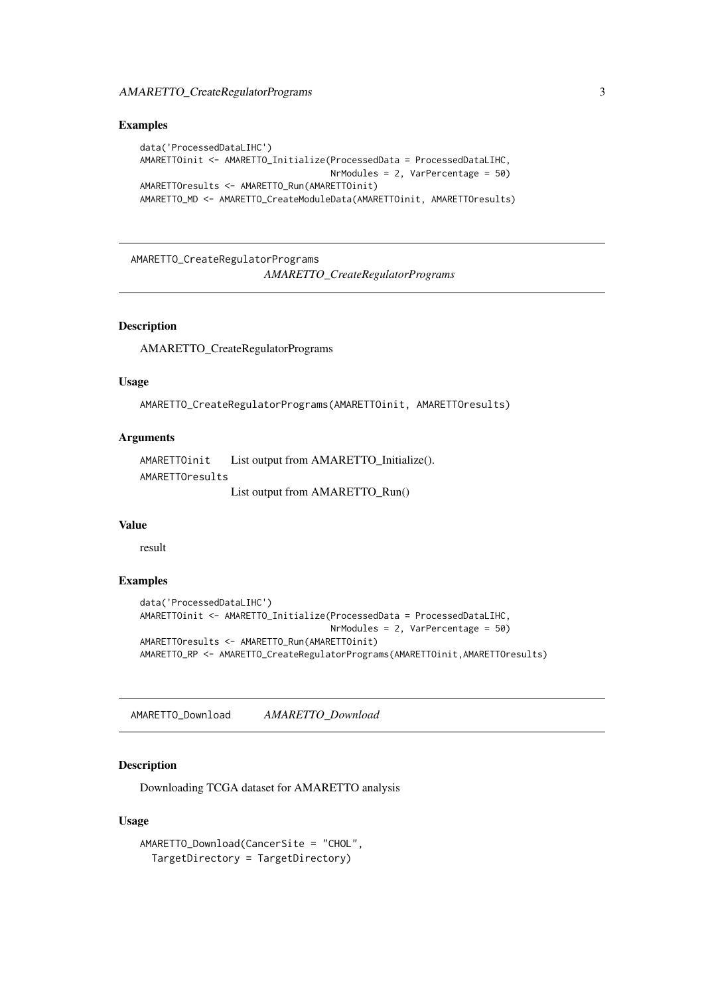#### <span id="page-2-0"></span>Examples

```
data('ProcessedDataLIHC')
AMARETTOinit <- AMARETTO_Initialize(ProcessedData = ProcessedDataLIHC,
                                    NrModules = 2, VarPercentage = 50)
AMARETTOresults <- AMARETTO_Run(AMARETTOinit)
AMARETTO_MD <- AMARETTO_CreateModuleData(AMARETTOinit, AMARETTOresults)
```
AMARETTO\_CreateRegulatorPrograms *AMARETTO\_CreateRegulatorPrograms*

#### Description

AMARETTO\_CreateRegulatorPrograms

#### Usage

```
AMARETTO_CreateRegulatorPrograms(AMARETTOinit, AMARETTOresults)
```
#### Arguments

```
AMARETTOinit List output from AMARETTO_Initialize().
AMARETTOresults
                List output from AMARETTO_Run()
```
#### Value

result

#### Examples

```
data('ProcessedDataLIHC')
AMARETTOinit <- AMARETTO_Initialize(ProcessedData = ProcessedDataLIHC,
                                    NrModules = 2, VarPercentage = 50)
AMARETTOresults <- AMARETTO_Run(AMARETTOinit)
AMARETTO_RP <- AMARETTO_CreateRegulatorPrograms(AMARETTOinit,AMARETTOresults)
```
AMARETTO\_Download *AMARETTO\_Download*

#### Description

Downloading TCGA dataset for AMARETTO analysis

#### Usage

```
AMARETTO_Download(CancerSite = "CHOL",
 TargetDirectory = TargetDirectory)
```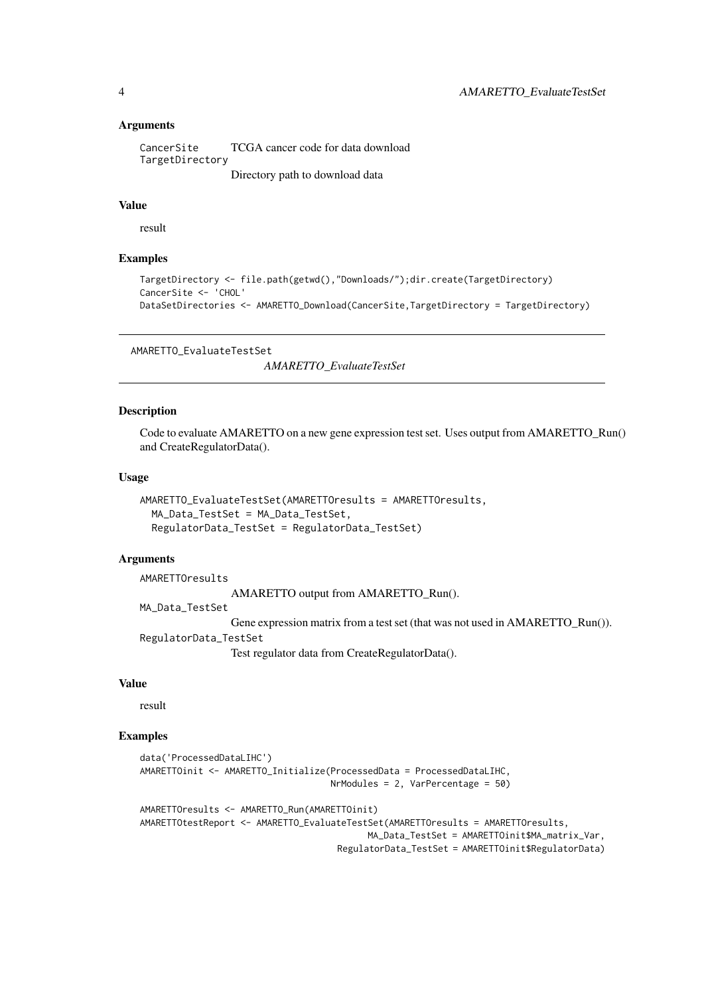#### Arguments

```
CancerSite TCGA cancer code for data download
TargetDirectory
                Directory path to download data
```
#### Value

result

#### Examples

```
TargetDirectory <- file.path(getwd(),"Downloads/");dir.create(TargetDirectory)
CancerSite <- 'CHOL'
DataSetDirectories <- AMARETTO_Download(CancerSite,TargetDirectory = TargetDirectory)
```

```
AMARETTO_EvaluateTestSet
```
*AMARETTO\_EvaluateTestSet*

#### Description

Code to evaluate AMARETTO on a new gene expression test set. Uses output from AMARETTO\_Run() and CreateRegulatorData().

#### Usage

```
AMARETTO_EvaluateTestSet(AMARETTOresults = AMARETTOresults,
 MA Data TestSet = MA Data TestSet.
  RegulatorData_TestSet = RegulatorData_TestSet)
```
#### Arguments

AMARETTOresults AMARETTO output from AMARETTO\_Run(). MA\_Data\_TestSet Gene expression matrix from a test set (that was not used in AMARETTO\_Run()). RegulatorData\_TestSet Test regulator data from CreateRegulatorData().

#### Value

result

#### Examples

```
data('ProcessedDataLIHC')
AMARETTOinit <- AMARETTO_Initialize(ProcessedData = ProcessedDataLIHC,
                                    NrModules = 2, VarPercentage = 50)
AMARETTOresults <- AMARETTO_Run(AMARETTOinit)
AMARETTOtestReport <- AMARETTO_EvaluateTestSet(AMARETTOresults = AMARETTOresults,
                                           MA_Data_TestSet = AMARETTOinit$MA_matrix_Var,
```
RegulatorData\_TestSet = AMARETTOinit\$RegulatorData)

<span id="page-3-0"></span>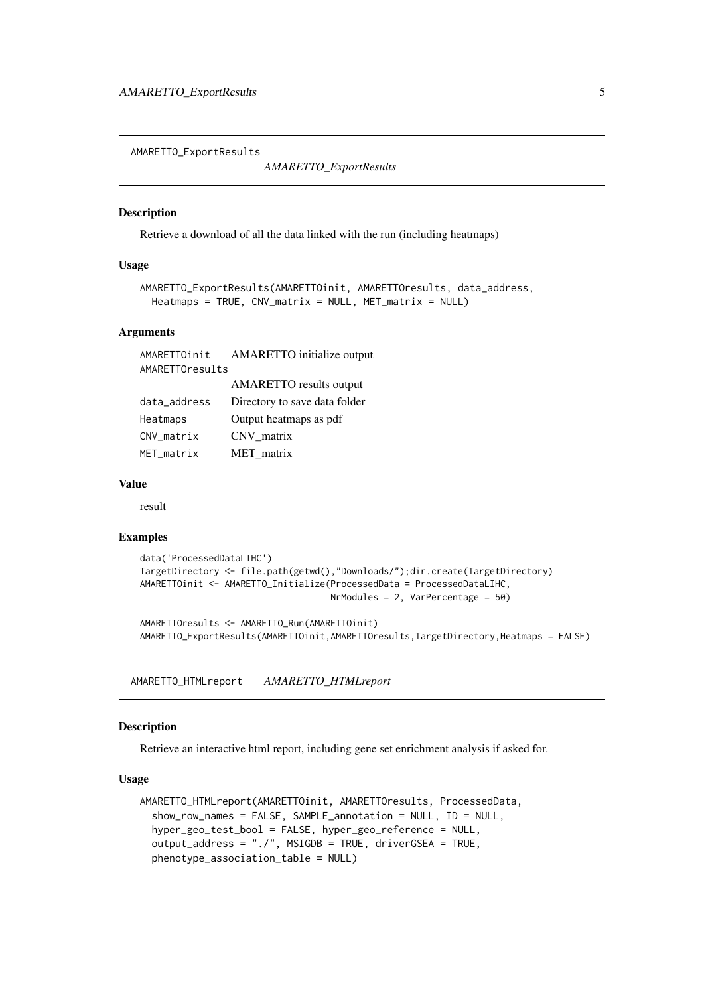<span id="page-4-0"></span>AMARETTO\_ExportResults

*AMARETTO\_ExportResults*

#### Description

Retrieve a download of all the data linked with the run (including heatmaps)

#### Usage

```
AMARETTO_ExportResults(AMARETTOinit, AMARETTOresults, data_address,
 Heatmaps = TRUE, CN\_matrix = NULL, MET\_matrix = NULL
```
#### Arguments

|                 | AMARETTOinit AMARETTO initialize output |  |  |
|-----------------|-----------------------------------------|--|--|
| AMARETTOresults |                                         |  |  |
|                 | <b>AMARETTO</b> results output          |  |  |
| data_address    | Directory to save data folder           |  |  |
| Heatmaps        | Output heatmaps as pdf                  |  |  |
| CNV_matrix      | CNV matrix                              |  |  |
| MET_matrix      | MET matrix                              |  |  |

#### Value

result

#### Examples

```
data('ProcessedDataLIHC')
TargetDirectory <- file.path(getwd(),"Downloads/");dir.create(TargetDirectory)
AMARETTOinit <- AMARETTO_Initialize(ProcessedData = ProcessedDataLIHC,
                                    NrModules = 2, VarPercentage = 50)
```
AMARETTOresults <- AMARETTO\_Run(AMARETTOinit) AMARETTO\_ExportResults(AMARETTOinit,AMARETTOresults,TargetDirectory,Heatmaps = FALSE)

AMARETTO\_HTMLreport *AMARETTO\_HTMLreport*

#### Description

Retrieve an interactive html report, including gene set enrichment analysis if asked for.

#### Usage

```
AMARETTO_HTMLreport(AMARETTOinit, AMARETTOresults, ProcessedData,
  show_row_names = FALSE, SAMPLE_annotation = NULL, ID = NULL,
 hyper_geo_test_bool = FALSE, hyper_geo_reference = NULL,
 output_address = "./", MSIGDB = TRUE, driverGSEA = TRUE,
 phenotype_association_table = NULL)
```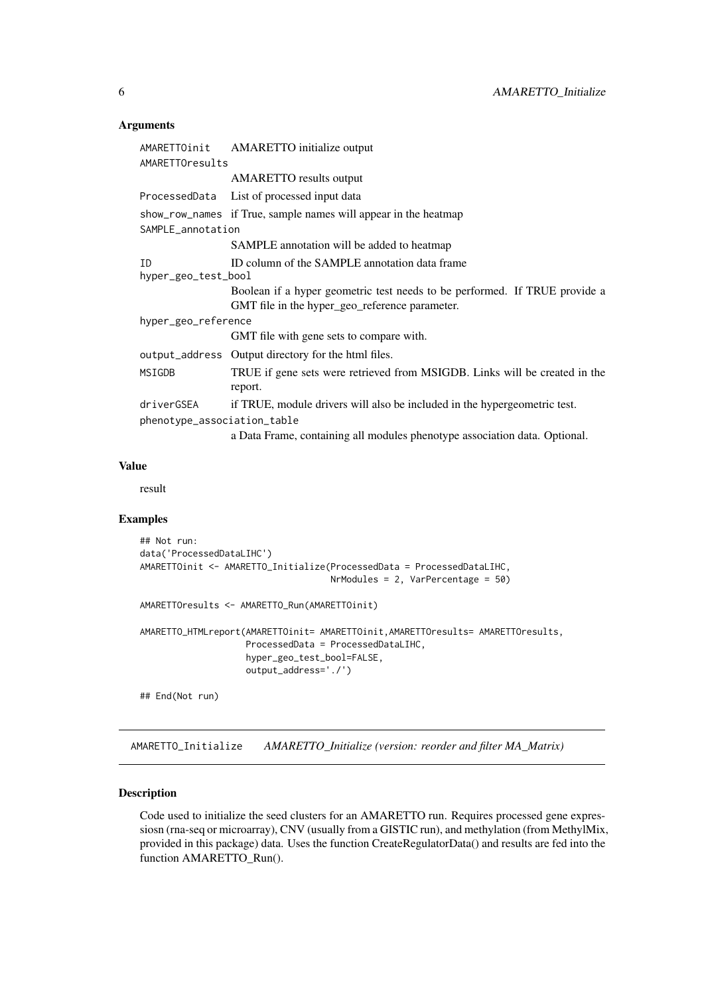#### Arguments

|                             | AMARETTOinit AMARETTO initialize output                                                                                      |
|-----------------------------|------------------------------------------------------------------------------------------------------------------------------|
| AMARETTOresults             |                                                                                                                              |
|                             | <b>AMARETTO</b> results output                                                                                               |
|                             | ProcessedData List of processed input data                                                                                   |
|                             | show_row_names if True, sample names will appear in the heatmap                                                              |
| SAMPLE_annotation           |                                                                                                                              |
|                             | SAMPLE annotation will be added to heatmap                                                                                   |
| ID                          | ID column of the SAMPLE annotation data frame                                                                                |
| hyper_geo_test_bool         |                                                                                                                              |
|                             | Boolean if a hyper geometric test needs to be performed. If TRUE provide a<br>GMT file in the hyper_geo_reference parameter. |
| hyper_geo_reference         |                                                                                                                              |
|                             | GMT file with gene sets to compare with.                                                                                     |
|                             | output_address Output directory for the html files.                                                                          |
| MSIGDB                      | TRUE if gene sets were retrieved from MSIGDB. Links will be created in the<br>report.                                        |
| driverGSEA                  | if TRUE, module drivers will also be included in the hypergeometric test.                                                    |
| phenotype_association_table |                                                                                                                              |
|                             | a Data Frame, containing all modules phenotype association data. Optional.                                                   |

#### Value

result

#### Examples

```
## Not run:
data('ProcessedDataLIHC')
AMARETTOinit <- AMARETTO_Initialize(ProcessedData = ProcessedDataLIHC,
                                    NrModules = 2, VarPercentage = 50)
AMARETTOresults <- AMARETTO_Run(AMARETTOinit)
AMARETTO_HTMLreport(AMARETTOinit= AMARETTOinit,AMARETTOresults= AMARETTOresults,
                    ProcessedData = ProcessedDataLIHC,
                    hyper_geo_test_bool=FALSE,
                    output_address='./')
```
## End(Not run)

AMARETTO\_Initialize *AMARETTO\_Initialize (version: reorder and filter MA\_Matrix)*

#### Description

Code used to initialize the seed clusters for an AMARETTO run. Requires processed gene expressiosn (rna-seq or microarray), CNV (usually from a GISTIC run), and methylation (from MethylMix, provided in this package) data. Uses the function CreateRegulatorData() and results are fed into the function AMARETTO\_Run().

<span id="page-5-0"></span>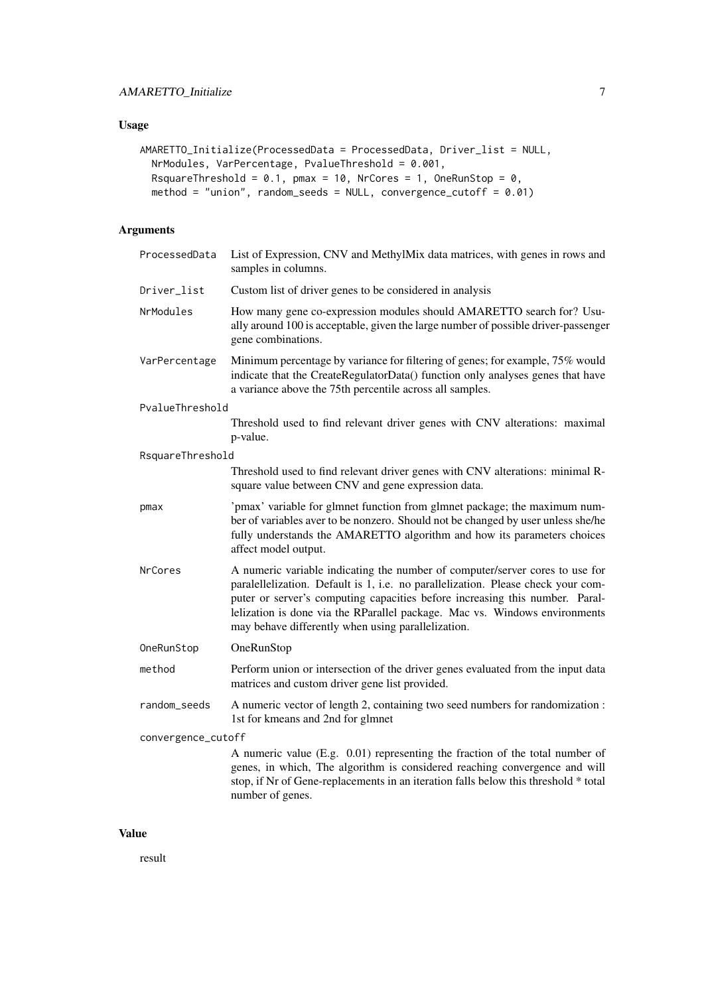#### Usage

```
AMARETTO_Initialize(ProcessedData = ProcessedData, Driver_list = NULL,
  NrModules, VarPercentage, PvalueThreshold = 0.001,
  RsquareThreshold = 0.1, pmax = 10, NrCores = 1, OneRunStop = 0,
  method = "union", random_seeds = NULL, convergence_cutoff = 0.01)
```
#### Arguments

| ProcessedData      | List of Expression, CNV and MethylMix data matrices, with genes in rows and<br>samples in columns.                                                                                                                                                                                                                                                                                   |
|--------------------|--------------------------------------------------------------------------------------------------------------------------------------------------------------------------------------------------------------------------------------------------------------------------------------------------------------------------------------------------------------------------------------|
| Driver_list        | Custom list of driver genes to be considered in analysis                                                                                                                                                                                                                                                                                                                             |
| NrModules          | How many gene co-expression modules should AMARETTO search for? Usu-<br>ally around 100 is acceptable, given the large number of possible driver-passenger<br>gene combinations.                                                                                                                                                                                                     |
| VarPercentage      | Minimum percentage by variance for filtering of genes; for example, 75% would<br>indicate that the CreateRegulatorData() function only analyses genes that have<br>a variance above the 75th percentile across all samples.                                                                                                                                                          |
| PvalueThreshold    |                                                                                                                                                                                                                                                                                                                                                                                      |
|                    | Threshold used to find relevant driver genes with CNV alterations: maximal<br>p-value.                                                                                                                                                                                                                                                                                               |
| RsquareThreshold   |                                                                                                                                                                                                                                                                                                                                                                                      |
|                    | Threshold used to find relevant driver genes with CNV alterations: minimal R-<br>square value between CNV and gene expression data.                                                                                                                                                                                                                                                  |
| pmax               | 'pmax' variable for glmnet function from glmnet package; the maximum num-<br>ber of variables aver to be nonzero. Should not be changed by user unless she/he<br>fully understands the AMARETTO algorithm and how its parameters choices<br>affect model output.                                                                                                                     |
| <b>NrCores</b>     | A numeric variable indicating the number of computer/server cores to use for<br>paralellelization. Default is 1, i.e. no parallelization. Please check your com-<br>puter or server's computing capacities before increasing this number. Paral-<br>lelization is done via the RParallel package. Mac vs. Windows environments<br>may behave differently when using parallelization. |
| OneRunStop         | OneRunStop                                                                                                                                                                                                                                                                                                                                                                           |
| method             | Perform union or intersection of the driver genes evaluated from the input data<br>matrices and custom driver gene list provided.                                                                                                                                                                                                                                                    |
| random_seeds       | A numeric vector of length 2, containing two seed numbers for randomization :<br>1st for kmeans and 2nd for glmnet                                                                                                                                                                                                                                                                   |
| convergence_cutoff |                                                                                                                                                                                                                                                                                                                                                                                      |
|                    | A numeric value (E.g. 0.01) representing the fraction of the total number of<br>genes, in which, The algorithm is considered reaching convergence and will<br>stop, if Nr of Gene-replacements in an iteration falls below this threshold * total<br>number of genes.                                                                                                                |

#### Value

result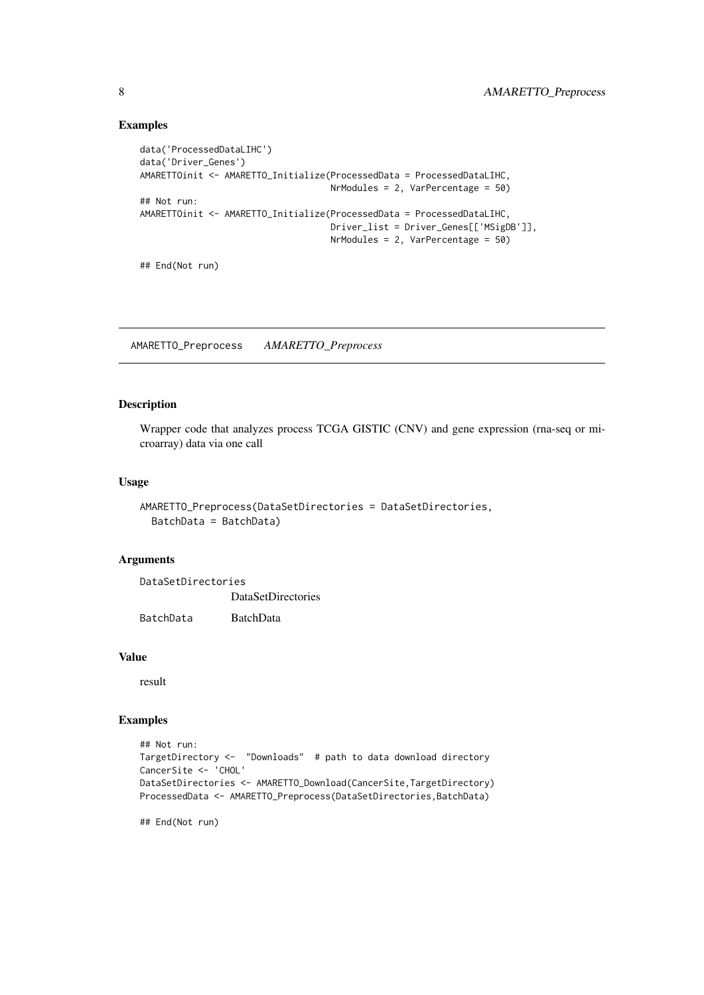#### Examples

```
data('ProcessedDataLIHC')
data('Driver_Genes')
AMARETTOinit <- AMARETTO_Initialize(ProcessedData = ProcessedDataLIHC,
                                    NrModules = 2, VarPercentage = 50)
## Not run:
AMARETTOinit <- AMARETTO_Initialize(ProcessedData = ProcessedDataLIHC,
                                    Driver_list = Driver_Genes[['MSigDB']],
                                    NrModules = 2, VarPercentage = 50)
```
## End(Not run)

AMARETTO\_Preprocess *AMARETTO\_Preprocess*

#### Description

Wrapper code that analyzes process TCGA GISTIC (CNV) and gene expression (rna-seq or microarray) data via one call

#### Usage

```
AMARETTO_Preprocess(DataSetDirectories = DataSetDirectories,
 BatchData = BatchData)
```
#### Arguments

| DataSetDirectories |                           |  |
|--------------------|---------------------------|--|
|                    | <b>DataSetDirectories</b> |  |
| BatchData          | <b>BatchData</b>          |  |

#### Value

result

#### Examples

```
## Not run:
TargetDirectory <- "Downloads" # path to data download directory
CancerSite <- 'CHOL'
DataSetDirectories <- AMARETTO_Download(CancerSite,TargetDirectory)
ProcessedData <- AMARETTO_Preprocess(DataSetDirectories,BatchData)
```
## End(Not run)

<span id="page-7-0"></span>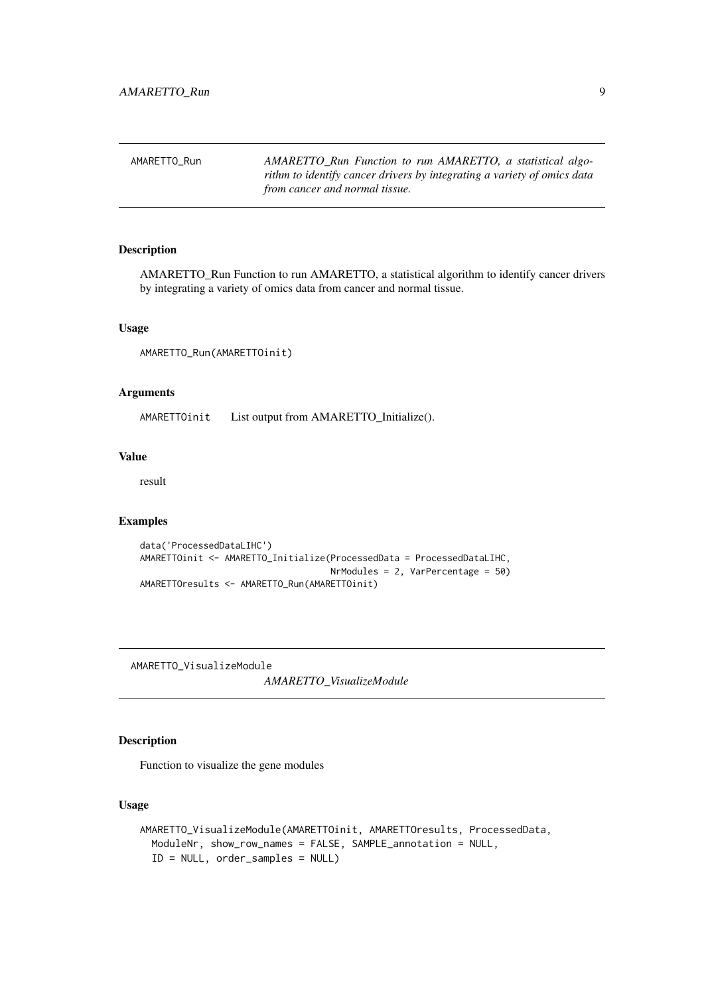<span id="page-8-0"></span>

| AMARETTO Run | AMARETTO Run Function to run AMARETTO, a statistical algo-              |
|--------------|-------------------------------------------------------------------------|
|              | rithm to identify cancer drivers by integrating a variety of omics data |
|              | from cancer and normal tissue.                                          |

#### Description

AMARETTO\_Run Function to run AMARETTO, a statistical algorithm to identify cancer drivers by integrating a variety of omics data from cancer and normal tissue.

#### Usage

```
AMARETTO_Run(AMARETTOinit)
```
#### Arguments

AMARETTOinit List output from AMARETTO\_Initialize().

#### Value

result

#### Examples

```
data('ProcessedDataLIHC')
AMARETTOinit <- AMARETTO_Initialize(ProcessedData = ProcessedDataLIHC,
                                    NrModules = 2, VarPercentage = 50)
AMARETTOresults <- AMARETTO_Run(AMARETTOinit)
```
AMARETTO\_VisualizeModule

*AMARETTO\_VisualizeModule*

#### Description

Function to visualize the gene modules

#### Usage

```
AMARETTO_VisualizeModule(AMARETTOinit, AMARETTOresults, ProcessedData,
 ModuleNr, show_row_names = FALSE, SAMPLE_annotation = NULL,
 ID = NULL, order_samples = NULL)
```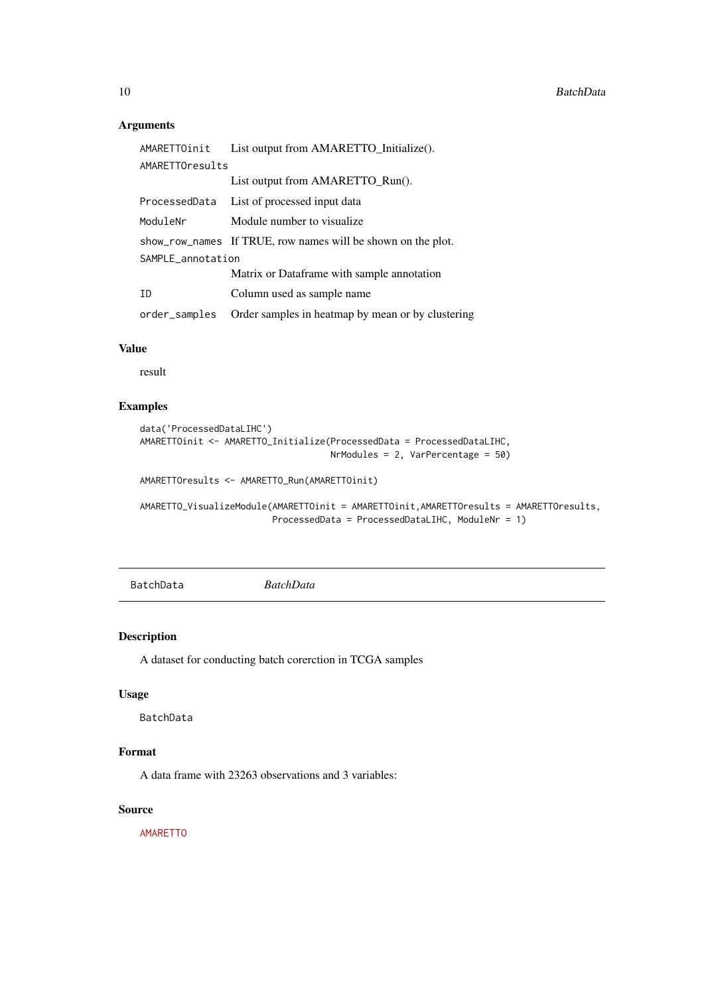#### Arguments

| AMARETTOinit      | List output from AMARETTO_Initialize().                      |  |  |  |
|-------------------|--------------------------------------------------------------|--|--|--|
| AMARETTOresults   |                                                              |  |  |  |
|                   | List output from AMARETTO_Run().                             |  |  |  |
| ProcessedData     | List of processed input data                                 |  |  |  |
| ModuleNr          | Module number to visualize.                                  |  |  |  |
|                   | show_row_names If TRUE, row names will be shown on the plot. |  |  |  |
| SAMPLE_annotation |                                                              |  |  |  |
|                   | Matrix or Dataframe with sample annotation                   |  |  |  |
| ID                | Column used as sample name                                   |  |  |  |
| order samples     | Order samples in heatmap by mean or by clustering            |  |  |  |

#### Value

result

#### Examples

```
data('ProcessedDataLIHC')
AMARETTOinit <- AMARETTO_Initialize(ProcessedData = ProcessedDataLIHC,
                                    NrModules = 2, VarPercentage = 50)
AMARETTOresults <- AMARETTO_Run(AMARETTOinit)
```

```
AMARETTO_VisualizeModule(AMARETTOinit = AMARETTOinit,AMARETTOresults = AMARETTOresults,
                         ProcessedData = ProcessedDataLIHC, ModuleNr = 1)
```
BatchData *BatchData*

#### Description

A dataset for conducting batch corerction in TCGA samples

#### Usage

BatchData

#### Format

A data frame with 23263 observations and 3 variables:

#### Source

<AMARETTO>

<span id="page-9-0"></span>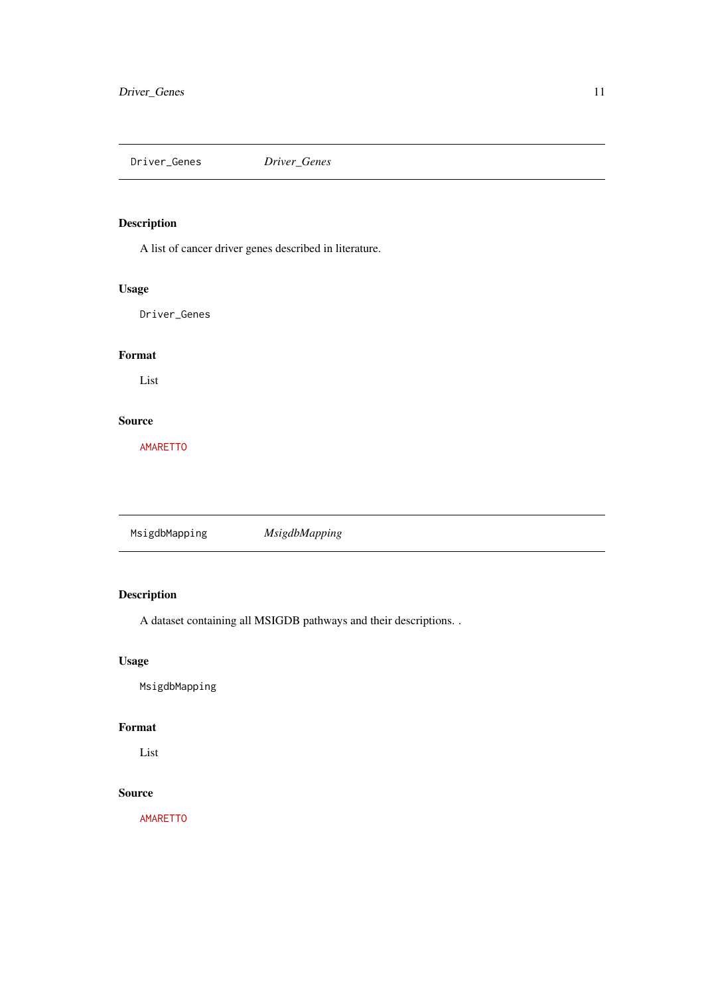<span id="page-10-0"></span>Driver\_Genes *Driver\_Genes*

### Description

A list of cancer driver genes described in literature.

#### Usage

Driver\_Genes

#### Format

List

#### Source

<AMARETTO>

MsigdbMapping *MsigdbMapping*

#### Description

A dataset containing all MSIGDB pathways and their descriptions. .

#### Usage

MsigdbMapping

#### Format

List

#### Source

<AMARETTO>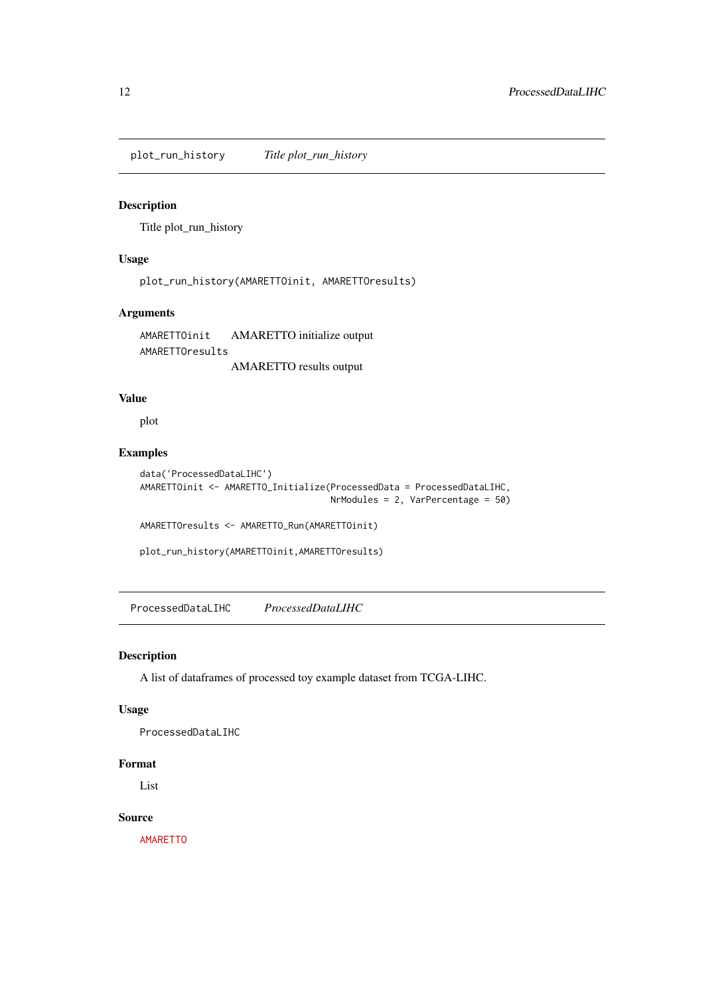<span id="page-11-0"></span>plot\_run\_history *Title plot\_run\_history*

#### Description

Title plot\_run\_history

#### Usage

```
plot_run_history(AMARETTOinit, AMARETTOresults)
```
#### Arguments

AMARETTOinit AMARETTO initialize output AMARETTOresults AMARETTO results output

#### Value

plot

#### Examples

```
data('ProcessedDataLIHC')
AMARETTOinit <- AMARETTO_Initialize(ProcessedData = ProcessedDataLIHC,
                                    NrModules = 2, VarPercentage = 50)
```
AMARETTOresults <- AMARETTO\_Run(AMARETTOinit)

```
plot_run_history(AMARETTOinit,AMARETTOresults)
```
ProcessedDataLIHC *ProcessedDataLIHC*

#### Description

A list of dataframes of processed toy example dataset from TCGA-LIHC.

#### Usage

ProcessedDataLIHC

#### Format

List

#### Source

<AMARETTO>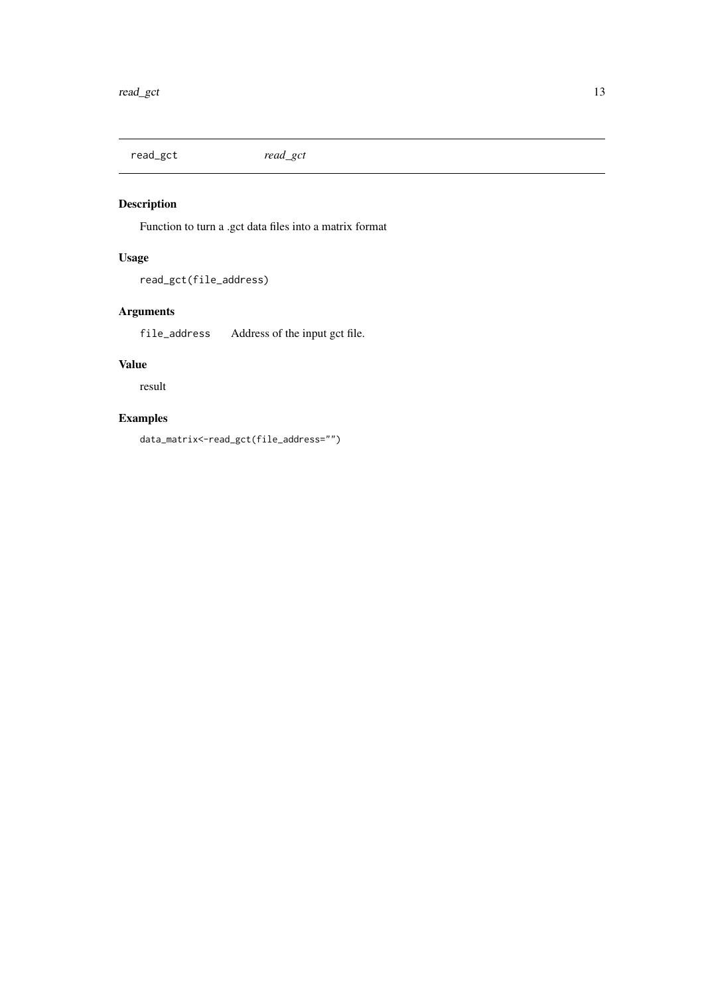<span id="page-12-0"></span>read\_gct *read\_gct*

### Description

Function to turn a .gct data files into a matrix format

#### Usage

read\_gct(file\_address)

#### Arguments

file\_address Address of the input gct file.

#### Value

result

#### Examples

data\_matrix<-read\_gct(file\_address="")